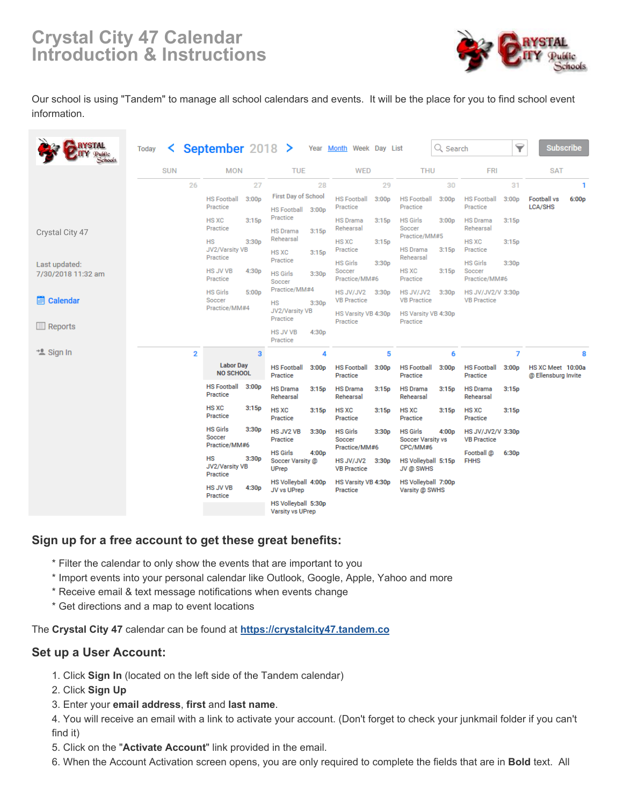# **Crystal City 47 Calendar Introduction & Instructions**



Our school is using "Tandem" to manage all school calendars and events. It will be the place for you to find school event information.

| <b>STAL</b><br>chools               | <b>Today</b> |            |                    | $\leq$ September 2018 $\geq$                     |                                      |                                                 |                          | Year Month Week Day List                         |                                  |                                             | Q Search                 |                                                          | 7                 |                                          | <b>Subscribe</b> |
|-------------------------------------|--------------|------------|--------------------|--------------------------------------------------|--------------------------------------|-------------------------------------------------|--------------------------|--------------------------------------------------|----------------------------------|---------------------------------------------|--------------------------|----------------------------------------------------------|-------------------|------------------------------------------|------------------|
|                                     |              | <b>SUN</b> |                    | <b>MON</b>                                       |                                      | <b>TUE</b>                                      |                          | <b>WED</b>                                       |                                  | <b>THU</b>                                  |                          | <b>FRI</b>                                               |                   | <b>SAT</b>                               |                  |
|                                     |              |            | 26                 |                                                  | 27                                   |                                                 | 28                       |                                                  | 29                               |                                             | 30                       |                                                          | 31                |                                          | 1                |
|                                     |              |            |                    | <b>HS Football</b><br>Practice                   | 3:00p                                | <b>First Day of School</b><br>HS Football 3:00p |                          | <b>HS Football</b><br>Practice                   | 3:00p                            | <b>HS Football</b><br>Practice              | 3:00p                    | <b>HS Football</b><br>Practice                           | 3:00 <sub>D</sub> | <b>Football vs</b><br>LCA/SHS            | 6:00p            |
| Crystal City 47                     |              |            |                    | <b>HS XC</b><br>Practice                         | 3:15p                                | Practice<br><b>HS Drama</b>                     | 3:15p                    | <b>HS Drama</b><br>Rehearsal                     | 3:15p                            | <b>HS Girls</b><br>Soccer                   | 3:00p                    | <b>HS Drama</b><br>Rehearsal                             | 3:15p             |                                          |                  |
|                                     |              |            |                    | <b>HS</b><br>3:30 <sub>D</sub><br>JV2/Varsity VB | Rehearsal<br>HS XC                   | 3:15p                                           | <b>HS XC</b><br>Practice | 3:15p                                            | Practice/MM#5<br><b>HS Drama</b> | 3:15p                                       | <b>HS XC</b><br>Practice | 3:15p                                                    |                   |                                          |                  |
| Last updated:<br>7/30/2018 11:32 am |              |            |                    | Practice<br><b>HS JV VB</b>                      | 4:30p                                | Practice<br><b>HS Girls</b>                     | 3:30 <sub>D</sub>        | <b>HS Girls</b><br>Soccer                        | 3:30 <sub>D</sub>                | Rehearsal<br>HS XC                          | 3:15p                    | <b>HS Girls</b><br>Soccer                                | 3:30p             |                                          |                  |
| <b>E</b> Calendar                   |              |            |                    | Practice<br><b>HS Girls</b><br>Soccer            | 5:00p                                | Soccer<br>Practice/MM#4                         |                          | Practice/MM#6<br>HS JV/JV2<br><b>VB Practice</b> | 3:30p                            | Practice<br>HS JV/JV2<br><b>VB</b> Practice | 3:30p                    | Practice/MM#6<br>HS JV/JV2/V 3:30p<br><b>VB Practice</b> |                   |                                          |                  |
|                                     |              |            |                    | Practice/MM#4                                    |                                      | НS<br>3:30p<br>JV2/Varsity VB<br>Practice       |                          | HS Varsity VB 4:30p<br>Practice                  |                                  | Practice                                    | HS Varsity VB 4:30p      |                                                          |                   |                                          |                  |
| <b>Reports</b>                      |              |            |                    |                                                  |                                      | <b>HS JV VB</b><br>Practice                     | 4:30p                    |                                                  |                                  |                                             |                          |                                                          |                   |                                          |                  |
| * Sign In                           |              |            | $\overline{2}$     |                                                  | 3                                    |                                                 | 4                        |                                                  | 5                                |                                             | 6                        |                                                          | 7                 |                                          | 8                |
|                                     |              |            |                    | <b>Labor Day</b><br><b>NO SCHOOL</b>             |                                      | <b>HS Football</b><br>Practice                  | 3:00 <sub>p</sub>        | <b>HS Football</b><br>Practice                   | 3:00p                            | <b>HS Football</b><br>Practice              | 3:00p                    | <b>HS Football</b><br>Practice                           | 3:00 <sub>p</sub> | HS XC Meet 10:00a<br>@ Ellensburg Invite |                  |
|                                     |              |            |                    | <b>HS Football</b><br>Practice                   | 3:00 <sub>p</sub>                    | <b>HS Drama</b><br>Rehearsal                    | 3:15p                    | <b>HS Drama</b><br>Rehearsal                     | 3:15p                            | <b>HS Drama</b><br>Rehearsal                | 3:15p                    | <b>HS Drama</b><br>Rehearsal                             | 3:15p             |                                          |                  |
|                                     |              |            |                    | <b>HS XC</b><br>Practice                         | 3:15p                                | HS XC<br>Practice                               | 3:15p                    | <b>HS XC</b><br>Practice                         | 3:15p                            | HS XC<br>Practice                           | 3:15p                    | <b>HS XC</b><br>Practice                                 | 3:15p             |                                          |                  |
|                                     |              |            |                    | <b>HS Girls</b><br>Soccer<br>Practice/MM#6       | 3:30 <sub>p</sub>                    | HS JV2 VB<br>Practice                           | 3:30 <sub>p</sub>        | <b>HS Girls</b><br>Soccer                        | 3:30p                            | <b>HS Girls</b><br><b>Soccer Varsity vs</b> | 4:00 <sub>p</sub>        | HS JV/JV2/V 3:30p<br><b>VB Practice</b>                  |                   |                                          |                  |
|                                     |              |            | <b>HS</b><br>3:30p |                                                  | <b>HS Girls</b><br>4:00 <sub>p</sub> |                                                 | HS JV/JV2                | Practice/MM#6<br>CPC/MM#6                        |                                  | Football @<br><b>FHHS</b>                   |                          | 6:30p                                                    |                   |                                          |                  |
|                                     |              |            |                    | JV2/Varsity VB<br>Practice                       |                                      | Soccer Varsity @<br><b>UPrep</b>                |                          | 3:30p<br><b>VB Practice</b>                      |                                  | HS Volleyball 5:15p<br>JV @ SWHS            |                          |                                                          |                   |                                          |                  |
|                                     |              |            |                    | <b>HS JV VB</b><br>Practice                      | 4:30 <sub>p</sub>                    | HS Volleyball 4:00p<br>JV vs UPrep              |                          | HS Varsity VB 4:30p<br>Practice                  |                                  | HS Volleyball 7:00p<br>Varsity @ SWHS       |                          |                                                          |                   |                                          |                  |
|                                     |              |            |                    |                                                  |                                      | HS Volleyball 5:30p<br>Vareity ve I IDran       |                          |                                                  |                                  |                                             |                          |                                                          |                   |                                          |                  |

#### **Sign up for a free account to get these great benefits:**

- \* Filter the calendar to only show the events that are important to you
- \* Import events into your personal calendar like Outlook, Google, Apple, Yahoo and more
- \* Receive email & text message notifications when events change
- \* Get directions and a map to event locations

The **Crystal City 47** calendar can be found at **<https://crystalcity47.tandem.co>**

#### **Set up a User Account:**

- 1. Click **Sign In** (located on the left side of the Tandem calendar)
- 2. Click **Sign Up**
- 3. Enter your **email address**, **first** and **last name**.

4. You will receive an email with a link to activate your account. (Don't forget to check your junkmail folder if you can't find it)

- 5. Click on the "**Activate Account**" link provided in the email.
- 6. When the Account Activation screen opens, you are only required to complete the fields that are in **Bold** text. All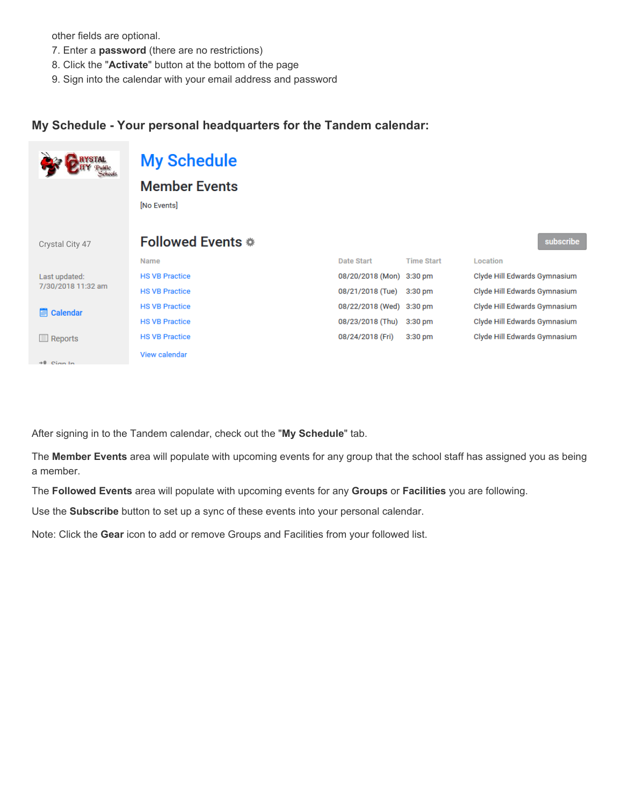other fields are optional.

- 7. Enter a **password** (there are no restrictions)
- 8. Click the "**Activate**" button at the bottom of the page
- 9. Sign into the calendar with your email address and password

#### **My Schedule - Your personal headquarters for the Tandem calendar:**

|                                     | <b>My Schedule</b>    |                          |                   |                              |
|-------------------------------------|-----------------------|--------------------------|-------------------|------------------------------|
|                                     | <b>Member Events</b>  |                          |                   |                              |
|                                     | [No Events]           |                          |                   |                              |
|                                     |                       |                          |                   |                              |
| Crystal City 47                     | Followed Events *     |                          |                   | subscribe                    |
|                                     | <b>Name</b>           | Date Start               | <b>Time Start</b> | Location                     |
| Last updated:<br>7/30/2018 11:32 am | <b>HS VB Practice</b> | 08/20/2018 (Mon) 3:30 pm |                   | Clyde Hill Edwards Gymnasium |
|                                     | <b>HS VB Practice</b> | 08/21/2018 (Tue)         | $3:30$ pm         | Clyde Hill Edwards Gymnasium |
| <b>Calendar</b><br>團                | <b>HS VB Practice</b> | 08/22/2018 (Wed) 3:30 pm |                   | Clyde Hill Edwards Gymnasium |
|                                     | <b>HS VB Practice</b> | 08/23/2018 (Thu)         | $3:30$ pm         | Clyde Hill Edwards Gymnasium |
| Reports<br>用                        | <b>HS VB Practice</b> | 08/24/2018 (Fri)         | $3:30$ pm         | Clyde Hill Edwards Gymnasium |
| $+0$ Cian In                        | View calendar         |                          |                   |                              |

After signing in to the Tandem calendar, check out the "**My Schedule**" tab.

The **Member Events** area will populate with upcoming events for any group that the school staff has assigned you as being a member.

The **Followed Events** area will populate with upcoming events for any **Groups** or **Facilities** you are following.

Use the **Subscribe** button to set up a sync of these events into your personal calendar.

Note: Click the **Gear** icon to add or remove Groups and Facilities from your followed list.